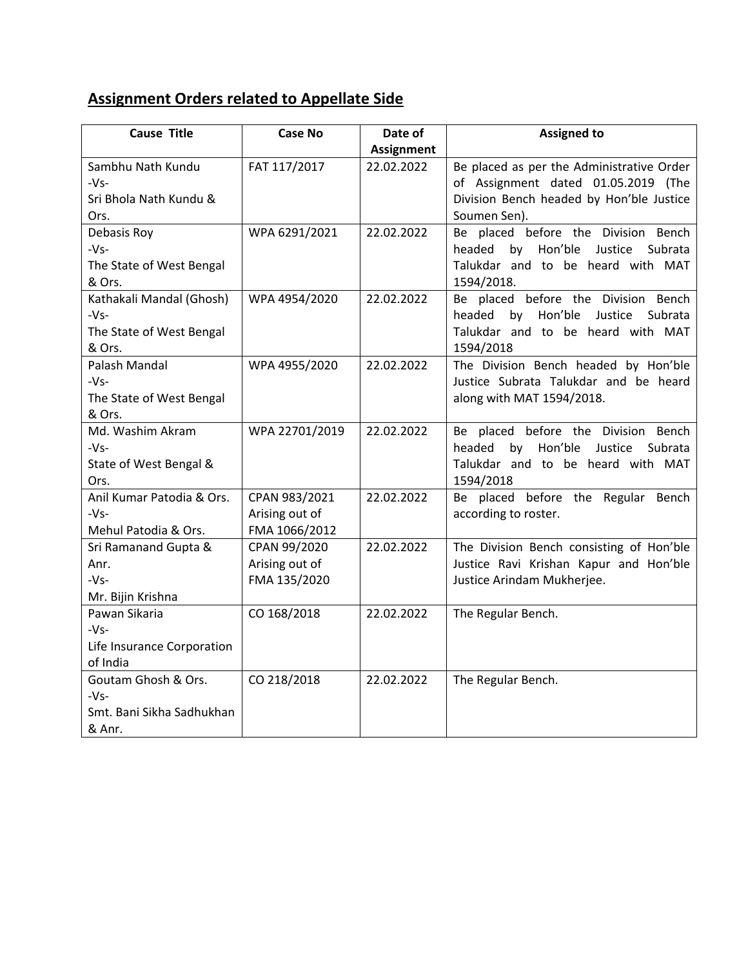## **Assignment Orders related to Appellate Side**

| <b>Cause Title</b>         | <b>Case No</b> | Date of           | <b>Assigned to</b>                            |
|----------------------------|----------------|-------------------|-----------------------------------------------|
|                            |                | <b>Assignment</b> |                                               |
| Sambhu Nath Kundu          | FAT 117/2017   | 22.02.2022        | Be placed as per the Administrative Order     |
| $-Vs-$                     |                |                   | of Assignment dated 01.05.2019 (The           |
| Sri Bhola Nath Kundu &     |                |                   | Division Bench headed by Hon'ble Justice      |
| Ors.                       |                |                   | Soumen Sen).                                  |
| Debasis Roy                | WPA 6291/2021  | 22.02.2022        | Be placed before the Division Bench           |
| $-Vs-$                     |                |                   | Hon'ble<br>headed<br>by<br>Justice<br>Subrata |
| The State of West Bengal   |                |                   | Talukdar and to be heard with MAT             |
| & Ors.                     |                |                   | 1594/2018.                                    |
| Kathakali Mandal (Ghosh)   | WPA 4954/2020  | 22.02.2022        | Be placed before the Division Bench           |
| $-Vs-$                     |                |                   | Hon'ble<br>headed<br>Justice<br>by<br>Subrata |
| The State of West Bengal   |                |                   | Talukdar and to be heard with MAT             |
| & Ors.                     |                |                   | 1594/2018                                     |
| Palash Mandal              | WPA 4955/2020  | 22.02.2022        | The Division Bench headed by Hon'ble          |
| $-Vs-$                     |                |                   | Justice Subrata Talukdar and be heard         |
| The State of West Bengal   |                |                   | along with MAT 1594/2018.                     |
| & Ors.                     |                |                   |                                               |
| Md. Washim Akram           | WPA 22701/2019 | 22.02.2022        | Be placed before the Division Bench           |
| $-Vs-$                     |                |                   | Hon'ble<br>headed<br>by<br>Justice<br>Subrata |
| State of West Bengal &     |                |                   | Talukdar and to be heard with MAT             |
| Ors.                       |                |                   | 1594/2018                                     |
| Anil Kumar Patodia & Ors.  | CPAN 983/2021  | 22.02.2022        | Be placed before the Regular Bench            |
| $-Vs-$                     | Arising out of |                   | according to roster.                          |
| Mehul Patodia & Ors.       | FMA 1066/2012  |                   |                                               |
| Sri Ramanand Gupta &       | CPAN 99/2020   | 22.02.2022        | The Division Bench consisting of Hon'ble      |
| Anr.                       | Arising out of |                   | Justice Ravi Krishan Kapur and Hon'ble        |
| $-Vs-$                     | FMA 135/2020   |                   | Justice Arindam Mukherjee.                    |
| Mr. Bijin Krishna          |                |                   |                                               |
| Pawan Sikaria              | CO 168/2018    | 22.02.2022        | The Regular Bench.                            |
| $-Vs-$                     |                |                   |                                               |
| Life Insurance Corporation |                |                   |                                               |
| of India                   |                |                   |                                               |
| Goutam Ghosh & Ors.        | CO 218/2018    | 22.02.2022        | The Regular Bench.                            |
| $-Vs-$                     |                |                   |                                               |
| Smt. Bani Sikha Sadhukhan  |                |                   |                                               |
| & Anr.                     |                |                   |                                               |